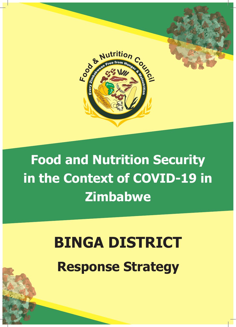

## **Documentation of the Role of Food and Nutrition Security in the Context of COVID-19 in Zimbabwe**

# **Traditional BINGA DISTRICT<br>
Response Strategy BINGA DISTRICT**

**Insecurity in Response Strategy Response Strategy**

*Food and Nutrition Security in the Context of COVID-19 in Zimbabwe*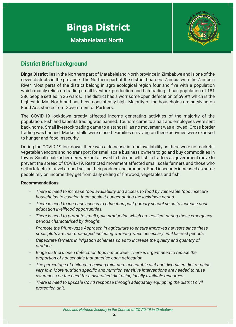### **Binga District**

**Matabeleland North**



#### **District Brief background**

**Bulct boarders Zambia with the Zambezi**<br>al region four and five with a population<br>and fish trading It has population of 181 n and fish trading. It has population of 181<br>ome open defecation of 59.9% which is the<br>lajority of the households are surviving on **Binga District** lies in the Northern part of Matabeleland North province in Zimbabwe and is one of the seven districts in the province. The Northern part of the district boarders Zambia with the Zambezi River. Most parts of the district belong in agro ecological region four and five with a population which mainly relies on trading small livestock production and fish trading. It has population of 181 386 people settled in 25 wards. The district has a worrisome open defecation of 59.9% which is the highest in Mat North and has been consistently high. Majority of the households are surviving on Food Assistance from Government or Partners.

**Insecutive in Alleger Comment of Latingies**<br>The COVID-19 lockdown greatly affected income generating activities of the majority of the population. Fish and kapenta trading was banned. Tourism came to a halt and employees were sent back home. Small livestock trading came to a standstill as no movement was allowed. Cross border trading was banned. Market stalls were closed. Families surviving on these activities were exposed to hunger and food insecurity.

During the COVID-19 lockdown, there was a decrease in food availability as there were no marketsvegetable vendors and no transport for small scale business owners to go and buy commodities in towns. Small scale fishermen were not allowed to fish nor sell fish to traders as government move to prevent the spread of COVID-19. Restricted movement affected small scale farmers and those who sell artefacts to travel around selling their produce and products. Food insecurity increased as some people rely on income they get from daily selling of firewood, vegetables and fish.

#### **Recommendations**

- *• There is need to increase food availability and access to food by vulnerable food insecure households to cushion them against hunger during the lockdown period.*
- *• There is need to increase access to education post primary school so as to increase post education livelihood opportunities.*
- *• There is need to promote small grain production which are resilient during these emergency periods characterised by drought.*
- *• Promote the Pfumvudza Approach in agriculture to ensure improved harvests since these small plots are micromanaged including watering when necessary until harvest periods.*
- *• Capacitate farmers in irrigation schemes so as to increase the quality and quantity of produce.*
- *• Binga district's open defecation tops nationwide. There is urgent need to reduce the proportion of households that practice open defecation.*
- *• The percentage of children receiving minimum acceptable diet and diversified diet remains very low. More nutrition specific and nutrition sensitive interventions are needed to raise awareness on the need for a diversified diet using locally available resources.*
- *• There is need to upscale Covid response through adequately equipping the district civil protection unit.*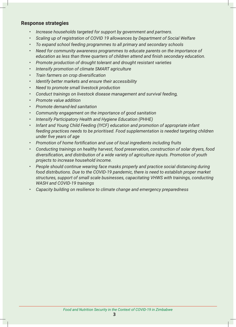#### **Response strategies**

- *• Increase households targeted for support by government and partners.*
- *• Scaling up of registration of COVID 19 allowances by Department of Social Welfare*
- *• To expand school feeding programmes to all primary and secondary schools*
- *• Need for community awareness programmes to educate parents on the importance of education as less than three quarters of children attend and finish secondary education.*
- *• Promote production of drought tolerant and drought resistant varieties*
- *• Intensify promotion of climate SMART agriculture*
- *• Train farmers on crop diversification*
- *• Identify better markets and ensure their accessibility*
- *• Need to promote small livestock production*
- *• Conduct trainings on livestock disease management and survival feeding,*
- *• Promote value addition*
- *• Promote demand-led sanitation*
- *• Community engagement on the importance of good sanitation*
- *• Intensify Participatory Health and Hygiene Education (PHHE)*
- *• Infant and Young Child Feeding (IYCF) education and promotion of appropriate infant feeding practices needs to be prioritised. Food supplementation is needed targeting children under five years of age*
- *• Promotion of home fortification and use of local ingredients including fruits*
- *• Conducting trainings on healthy harvest, food preservation, construction of solar dryers, food diversification, and distribution of a wide variety of agriculture inputs. Promotion of youth projects to increase household income.*
- *• People should continue wearing face masks properly and practice social distancing during food distributions. Due to the COVID-19 pandemic, there is need to establish proper market structures, support of small scale businesses, capacitating VHWS with trainings, conducting WASH and COVID-19 trainings*
- *• Capacity building on resilience to climate change and emergency preparedness*